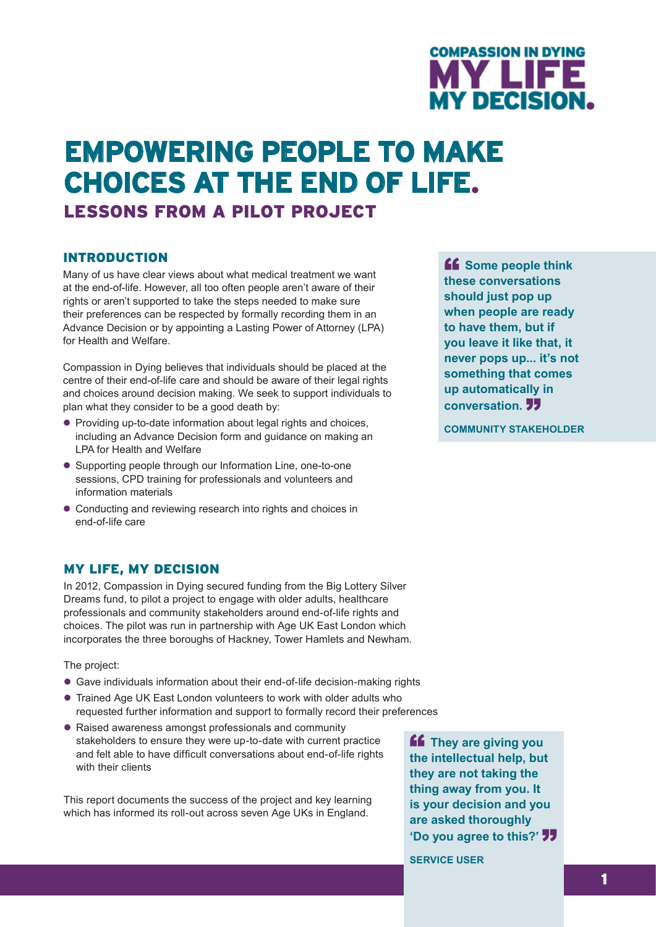

# **empowering people to make choices at the end of life.** Lessons from a pilot project

#### **INTRODUCTION**

Many of us have clear views about what medical treatment we want at the end-of-life. However, all too often people aren't aware of their rights or aren't supported to take the steps needed to make sure their preferences can be respected by formally recording them in an Advance Decision or by appointing a Lasting Power of Attorney (LPA) for Health and Welfare.

Compassion in Dying believes that individuals should be placed at the centre of their end-of-life care and should be aware of their legal rights and choices around decision making. We seek to support individuals to plan what they consider to be a good death by:

- Providing up-to-date information about legal rights and choices, including an Advance Decision form and guidance on making an LPA for Health and Welfare
- Supporting people through our Information Line, one-to-one sessions, CPD training for professionals and volunteers and information materials
- Conducting and reviewing research into rights and choices in end-of-life care

#### My Life, My Decision

In 2012, Compassion in Dying secured funding from the Big Lottery Silver Dreams fund, to pilot a project to engage with older adults, healthcare professionals and community stakeholders around end-of-life rights and choices. The pilot was run in partnership with Age UK East London which incorporates the three boroughs of Hackney, Tower Hamlets and Newham.

The project:

- Gave individuals information about their end-of-life decision-making rights
- Trained Age UK East London volunteers to work with older adults who requested further information and support to formally record their preferences
- Raised awareness amongst professionals and community stakeholders to ensure they were up-to-date with current practice and felt able to have difficult conversations about end-of-life rights with their clients

This report documents the success of the project and key learning which has informed its roll-out across seven Age UKs in England.

**ff** They are giving you **the intellectual help, but they are not taking the thing away from you. It is your decision and you are asked thoroughly 'Do you agree to this?'** 

**Service User**

**ff** Some people think **these conversations should just pop up when people are ready to have them, but if you leave it like that, it never pops up... it's not something that comes up automatically in conversation.** 

**Community Stakeholder**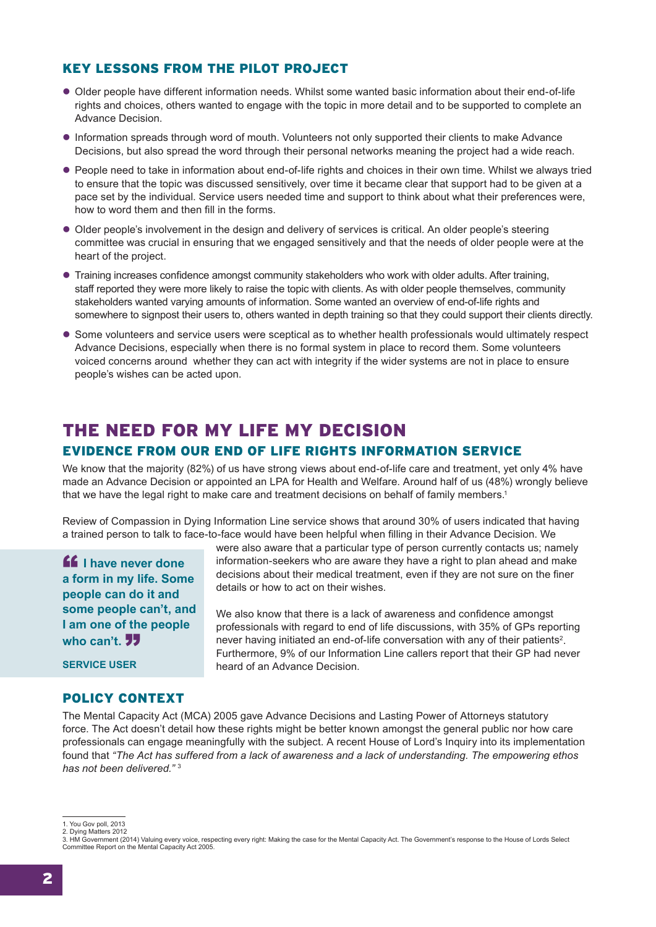### Key lessons from the pilot project

- l Older people have different information needs. Whilst some wanted basic information about their end-of-life rights and choices, others wanted to engage with the topic in more detail and to be supported to complete an Advance Decision.
- **Information spreads through word of mouth. Volunteers not only supported their clients to make Advance** Decisions, but also spread the word through their personal networks meaning the project had a wide reach.
- People need to take in information about end-of-life rights and choices in their own time. Whilst we always tried to ensure that the topic was discussed sensitively, over time it became clear that support had to be given at a pace set by the individual. Service users needed time and support to think about what their preferences were, how to word them and then fill in the forms.
- l Older people's involvement in the design and delivery of services is critical. An older people's steering committee was crucial in ensuring that we engaged sensitively and that the needs of older people were at the heart of the project.
- l Training increases confidence amongst community stakeholders who work with older adults. After training, staff reported they were more likely to raise the topic with clients. As with older people themselves, community stakeholders wanted varying amounts of information. Some wanted an overview of end-of-life rights and somewhere to signpost their users to, others wanted in depth training so that they could support their clients directly.
- Some volunteers and service users were sceptical as to whether health professionals would ultimately respect Advance Decisions, especially when there is no formal system in place to record them. Some volunteers voiced concerns around whether they can act with integrity if the wider systems are not in place to ensure people's wishes can be acted upon.

## THE NEED FOR MY LIFE MY DECISION

### Evidence from our End of Life Rights Information Service

We know that the majority (82%) of us have strong views about end-of-life care and treatment, yet only 4% have made an Advance Decision or appointed an LPA for Health and Welfare. Around half of us (48%) wrongly believe that we have the legal right to make care and treatment decisions on behalf of family members.1

Review of Compassion in Dying Information Line service shows that around 30% of users indicated that having a trained person to talk to face-to-face would have been helpful when filling in their Advance Decision. We

**ff** I have never done **a form in my life. Some people can do it and some people can't, and I am one of the people**  who can't. **77** 

were also aware that a particular type of person currently contacts us; namely information-seekers who are aware they have a right to plan ahead and make decisions about their medical treatment, even if they are not sure on the finer details or how to act on their wishes.

We also know that there is a lack of awareness and confidence amongst professionals with regard to end of life discussions, with 35% of GPs reporting never having initiated an end-of-life conversation with any of their patients<sup>2</sup>. Furthermore, 9% of our Information Line callers report that their GP had never heard of an Advance Decision.

**Service User**

### POLICY CONTEXT

The Mental Capacity Act (MCA) 2005 gave Advance Decisions and Lasting Power of Attorneys statutory force. The Act doesn't detail how these rights might be better known amongst the general public nor how care professionals can engage meaningfully with the subject. A recent House of Lord's Inquiry into its implementation found that *"The Act has suffered from a lack of awareness and a lack of understanding. The empowering ethos has not been delivered."* <sup>3</sup>

<sup>1.</sup> You Gov poll, 2013

<sup>2.</sup> Dying Matters 2012

<sup>3.</sup> HM Government (2014) Valuing every voice, respecting every right: Making the case for the Mental Capacity Act. The Government's response to the House of Lords Select Committee Report on the Mental Capacity Act 2005.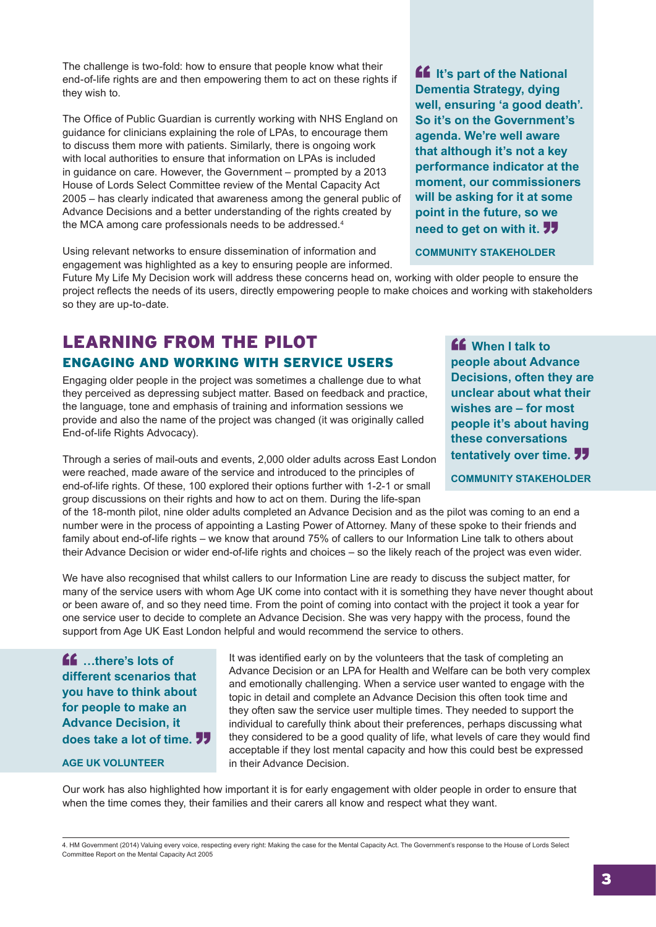The challenge is two-fold: how to ensure that people know what their end-of-life rights are and then empowering them to act on these rights if they wish to.

The Office of Public Guardian is currently working with NHS England on guidance for clinicians explaining the role of LPAs, to encourage them to discuss them more with patients. Similarly, there is ongoing work with local authorities to ensure that information on LPAs is included in guidance on care. However, the Government – prompted by a 2013 House of Lords Select Committee review of the Mental Capacity Act 2005 – has clearly indicated that awareness among the general public of Advance Decisions and a better understanding of the rights created by the MCA among care professionals needs to be addressed.4

Using relevant networks to ensure dissemination of information and engagement was highlighted as a key to ensuring people are informed.

Future My Life My Decision work will address these concerns head on, working with older people to ensure the project reflects the needs of its users, directly empowering people to make choices and working with stakeholders so they are up-to-date.

## Learning from the Pilot Engaging and working with service users

Engaging older people in the project was sometimes a challenge due to what they perceived as depressing subject matter. Based on feedback and practice, the language, tone and emphasis of training and information sessions we provide and also the name of the project was changed (it was originally called End-of-life Rights Advocacy).

Through a series of mail-outs and events, 2,000 older adults across East London were reached, made aware of the service and introduced to the principles of end-of-life rights. Of these, 100 explored their options further with 1-2-1 or small group discussions on their rights and how to act on them. During the life-span

of the 18-month pilot, nine older adults completed an Advance Decision and as the pilot was coming to an end a number were in the process of appointing a Lasting Power of Attorney. Many of these spoke to their friends and family about end-of-life rights – we know that around 75% of callers to our Information Line talk to others about their Advance Decision or wider end-of-life rights and choices – so the likely reach of the project was even wider.

We have also recognised that whilst callers to our Information Line are ready to discuss the subject matter, for many of the service users with whom Age UK come into contact with it is something they have never thought about or been aware of, and so they need time. From the point of coming into contact with the project it took a year for one service user to decide to complete an Advance Decision. She was very happy with the process, found the support from Age UK East London helpful and would recommend the service to others.

 $\mathbf{f}$  ... there's lots of **different scenarios that you have to think about for people to make an Advance Decision, it does take a lot of time.**"

#### **AGE UK volunteer**

It was identified early on by the volunteers that the task of completing an Advance Decision or an LPA for Health and Welfare can be both very complex and emotionally challenging. When a service user wanted to engage with the topic in detail and complete an Advance Decision this often took time and they often saw the service user multiple times. They needed to support the individual to carefully think about their preferences, perhaps discussing what they considered to be a good quality of life, what levels of care they would find acceptable if they lost mental capacity and how this could best be expressed in their Advance Decision.

Our work has also highlighted how important it is for early engagement with older people in order to ensure that when the time comes they, their families and their carers all know and respect what they want.

4. HM Government (2014) Valuing every voice, respecting every right: Making the case for the Mental Capacity Act. The Government's response to the House of Lords Select Committee Report on the Mental Capacity Act 2005

**If** It's part of the National **Dementia Strategy, dying well, ensuring 'a good death'. So it's on the Government's agenda. We're well aware that although it's not a key performance indicator at the moment, our commissioners will be asking for it at some point in the future, so we need to get on with it. 77** 

**Community Stakeholder**

" **When I talk to people about Advance Decisions, often they are unclear about what their wishes are – for most people it's about having these conversations tentatively over time.**"

**Community Stakeholder**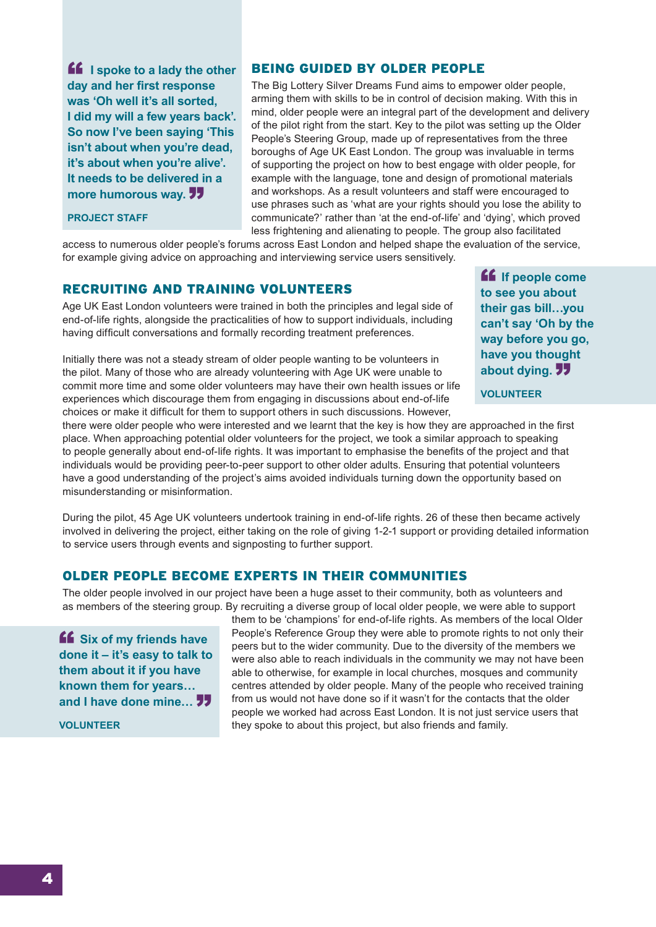**ff** I spoke to a lady the other **day and her first response was 'Oh well it's all sorted, I did my will a few years back'. So now I've been saying 'This isn't about when you're dead, it's about when you're alive'. It needs to be delivered in a**  more humorous way. 77

#### **PROJECT STAFF**

#### Being guided by older people

The Big Lottery Silver Dreams Fund aims to empower older people, arming them with skills to be in control of decision making. With this in mind, older people were an integral part of the development and delivery of the pilot right from the start. Key to the pilot was setting up the Older People's Steering Group, made up of representatives from the three boroughs of Age UK East London. The group was invaluable in terms of supporting the project on how to best engage with older people, for example with the language, tone and design of promotional materials and workshops. As a result volunteers and staff were encouraged to use phrases such as 'what are your rights should you lose the ability to communicate?' rather than 'at the end-of-life' and 'dying', which proved less frightening and alienating to people. The group also facilitated

access to numerous older people's forums across East London and helped shape the evaluation of the service, for example giving advice on approaching and interviewing service users sensitively.

#### Recruiting and training volunteers

Age UK East London volunteers were trained in both the principles and legal side of end-of-life rights, alongside the practicalities of how to support individuals, including having difficult conversations and formally recording treatment preferences.

Initially there was not a steady stream of older people wanting to be volunteers in the pilot. Many of those who are already volunteering with Age UK were unable to commit more time and some older volunteers may have their own health issues or life experiences which discourage them from engaging in discussions about end-of-life choices or make it difficult for them to support others in such discussions. However,

**ff** If people come **to see you about their gas bill…you can't say 'Oh by the way before you go, have you thought about dying.**"

#### **volunteer**

there were older people who were interested and we learnt that the key is how they are approached in the first place. When approaching potential older volunteers for the project, we took a similar approach to speaking to people generally about end-of-life rights. It was important to emphasise the benefits of the project and that individuals would be providing peer-to-peer support to other older adults. Ensuring that potential volunteers have a good understanding of the project's aims avoided individuals turning down the opportunity based on misunderstanding or misinformation.

During the pilot, 45 Age UK volunteers undertook training in end-of-life rights. 26 of these then became actively involved in delivering the project, either taking on the role of giving 1-2-1 support or providing detailed information to service users through events and signposting to further support.

#### Older people become experts in their communities

The older people involved in our project have been a huge asset to their community, both as volunteers and as members of the steering group. By recruiting a diverse group of local older people, we were able to support

" **Six of my friends have done it – it's easy to talk to them about it if you have known them for years… and I have done mine...** 77

**volunteer**

them to be 'champions' for end-of-life rights. As members of the local Older People's Reference Group they were able to promote rights to not only their peers but to the wider community. Due to the diversity of the members we were also able to reach individuals in the community we may not have been able to otherwise, for example in local churches, mosques and community centres attended by older people. Many of the people who received training from us would not have done so if it wasn't for the contacts that the older people we worked had across East London. It is not just service users that they spoke to about this project, but also friends and family.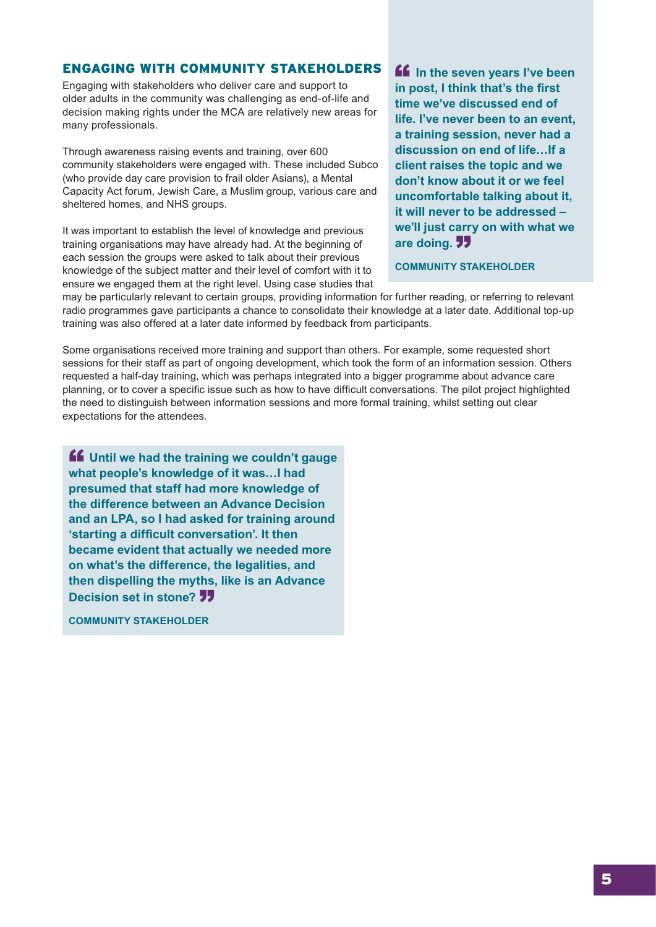#### Engaging with community stakeholders

Engaging with stakeholders who deliver care and support to older adults in the community was challenging as end-of-life and decision making rights under the MCA are relatively new areas for many professionals.

Through awareness raising events and training, over 600 community stakeholders were engaged with. These included Subco (who provide day care provision to frail older Asians), a Mental Capacity Act forum, Jewish Care, a Muslim group, various care and sheltered homes, and NHS groups.

It was important to establish the level of knowledge and previous training organisations may have already had. At the beginning of each session the groups were asked to talk about their previous knowledge of the subject matter and their level of comfort with it to ensure we engaged them at the right level. Using case studies that

**ff** In the seven years I've been **in post, I think that's the first time we've discussed end of life. I've never been to an event, a training session, never had a discussion on end of life…If a client raises the topic and we don't know about it or we feel uncomfortable talking about it, it will never to be addressed – we'll just carry on with what we are doing.**"

#### **Community Stakeholder**

may be particularly relevant to certain groups, providing information for further reading, or referring to relevant radio programmes gave participants a chance to consolidate their knowledge at a later date. Additional top-up training was also offered at a later date informed by feedback from participants.

Some organisations received more training and support than others. For example, some requested short sessions for their staff as part of ongoing development, which took the form of an information session. Others requested a half-day training, which was perhaps integrated into a bigger programme about advance care planning, or to cover a specific issue such as how to have difficult conversations. The pilot project highlighted the need to distinguish between information sessions and more formal training, whilst setting out clear expectations for the attendees.

**ff** Until we had the training we couldn't gauge **what people's knowledge of it was…I had presumed that staff had more knowledge of the difference between an Advance Decision and an LPA, so I had asked for training around 'starting a difficult conversation'. It then became evident that actually we needed more on what's the difference, the legalities, and then dispelling the myths, like is an Advance Decision set in stone? 77** 

**Community Stakeholder**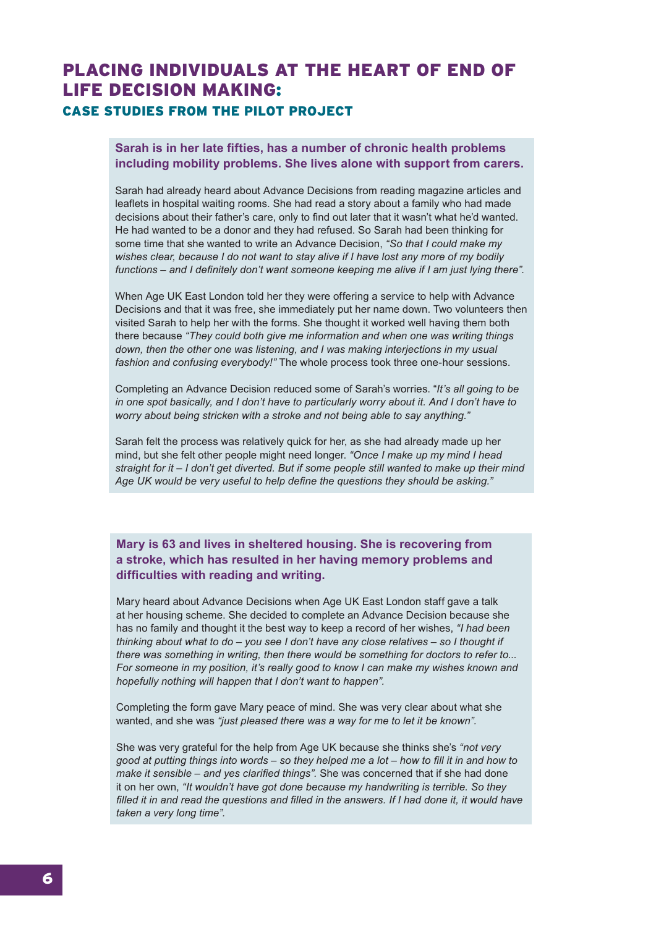## PLACING INDIVIDUALS AT THE HEART OF End of life DECISION MAKING: CASE STUDIES FROM THE PILOT PROJECT

#### **Sarah is in her late fifties, has a number of chronic health problems including mobility problems. She lives alone with support from carers.**

Sarah had already heard about Advance Decisions from reading magazine articles and leaflets in hospital waiting rooms. She had read a story about a family who had made decisions about their father's care, only to find out later that it wasn't what he'd wanted. He had wanted to be a donor and they had refused. So Sarah had been thinking for some time that she wanted to write an Advance Decision, *"So that I could make my wishes clear, because I do not want to stay alive if I have lost any more of my bodily functions – and I definitely don't want someone keeping me alive if I am just lying there".*

When Age UK East London told her they were offering a service to help with Advance Decisions and that it was free, she immediately put her name down. Two volunteers then visited Sarah to help her with the forms. She thought it worked well having them both there because *"They could both give me information and when one was writing things down, then the other one was listening, and I was making interjections in my usual fashion and confusing everybody!"* The whole process took three one-hour sessions.

Completing an Advance Decision reduced some of Sarah's worries. "*It's all going to be in one spot basically, and I don't have to particularly worry about it. And I don't have to worry about being stricken with a stroke and not being able to say anything."*

Sarah felt the process was relatively quick for her, as she had already made up her mind, but she felt other people might need longer. *"Once I make up my mind I head straight for it – I don't get diverted. But if some people still wanted to make up their mind Age UK would be very useful to help define the questions they should be asking."*

**Mary is 63 and lives in sheltered housing. She is recovering from a stroke, which has resulted in her having memory problems and difficulties with reading and writing.** 

Mary heard about Advance Decisions when Age UK East London staff gave a talk at her housing scheme. She decided to complete an Advance Decision because she has no family and thought it the best way to keep a record of her wishes, *"I had been thinking about what to do – you see I don't have any close relatives – so I thought if there was something in writing, then there would be something for doctors to refer to... For someone in my position, it's really good to know I can make my wishes known and hopefully nothing will happen that I don't want to happen".* 

Completing the form gave Mary peace of mind. She was very clear about what she wanted, and she was *"just pleased there was a way for me to let it be known".*

She was very grateful for the help from Age UK because she thinks she's *"not very good at putting things into words – so they helped me a lot – how to fill it in and how to make it sensible – and yes clarified things".* She was concerned that if she had done it on her own, *"It wouldn't have got done because my handwriting is terrible. So they filled it in and read the questions and filled in the answers. If I had done it, it would have taken a very long time".*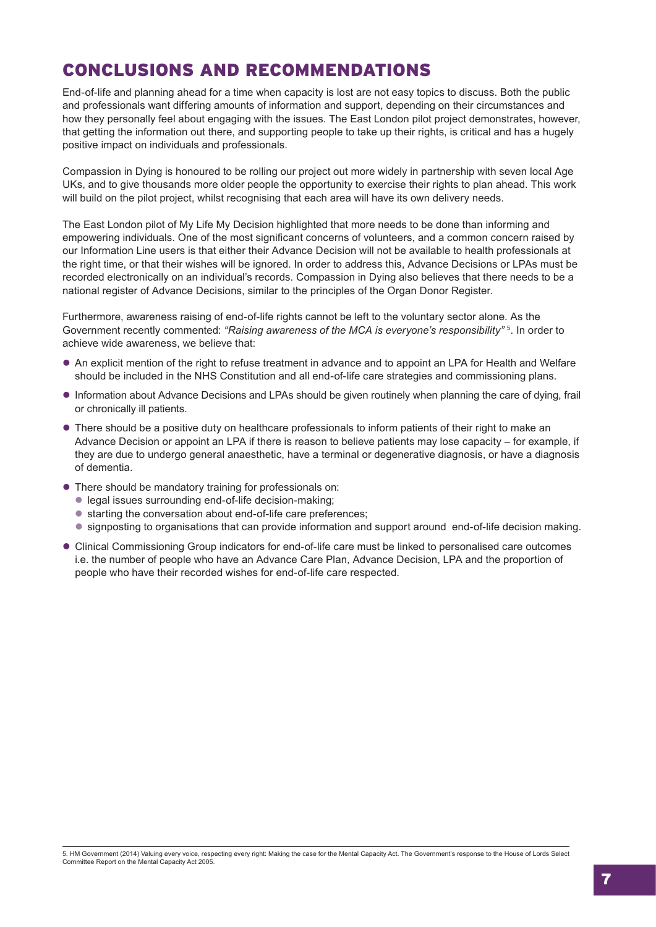## Conclusions and recommendations

End-of-life and planning ahead for a time when capacity is lost are not easy topics to discuss. Both the public and professionals want differing amounts of information and support, depending on their circumstances and how they personally feel about engaging with the issues. The East London pilot project demonstrates, however, that getting the information out there, and supporting people to take up their rights, is critical and has a hugely positive impact on individuals and professionals.

Compassion in Dying is honoured to be rolling our project out more widely in partnership with seven local Age UKs, and to give thousands more older people the opportunity to exercise their rights to plan ahead. This work will build on the pilot project, whilst recognising that each area will have its own delivery needs.

The East London pilot of My Life My Decision highlighted that more needs to be done than informing and empowering individuals. One of the most significant concerns of volunteers, and a common concern raised by our Information Line users is that either their Advance Decision will not be available to health professionals at the right time, or that their wishes will be ignored. In order to address this, Advance Decisions or LPAs must be recorded electronically on an individual's records. Compassion in Dying also believes that there needs to be a national register of Advance Decisions, similar to the principles of the Organ Donor Register.

Furthermore, awareness raising of end-of-life rights cannot be left to the voluntary sector alone. As the Government recently commented: *"Raising awareness of the MCA is everyone's responsibility"* 5. In order to achieve wide awareness, we believe that:

- l An explicit mention of the right to refuse treatment in advance and to appoint an LPA for Health and Welfare should be included in the NHS Constitution and all end-of-life care strategies and commissioning plans.
- l Information about Advance Decisions and LPAs should be given routinely when planning the care of dying, frail or chronically ill patients.
- There should be a positive duty on healthcare professionals to inform patients of their right to make an Advance Decision or appoint an LPA if there is reason to believe patients may lose capacity – for example, if they are due to undergo general anaesthetic, have a terminal or degenerative diagnosis, or have a diagnosis of dementia.
- **There should be mandatory training for professionals on:** 
	- legal issues surrounding end-of-life decision-making;
	- starting the conversation about end-of-life care preferences:
	- l signposting to organisations that can provide information and support around end-of-life decision making.
- Clinical Commissioning Group indicators for end-of-life care must be linked to personalised care outcomes i.e. the number of people who have an Advance Care Plan, Advance Decision, LPA and the proportion of people who have their recorded wishes for end-of-life care respected.

<sup>5.</sup> HM Government (2014) Valuing every voice, respecting every right: Making the case for the Mental Capacity Act. The Government's response to the House of Lords Select Committee Report on the Mental Capacity Act 2005.